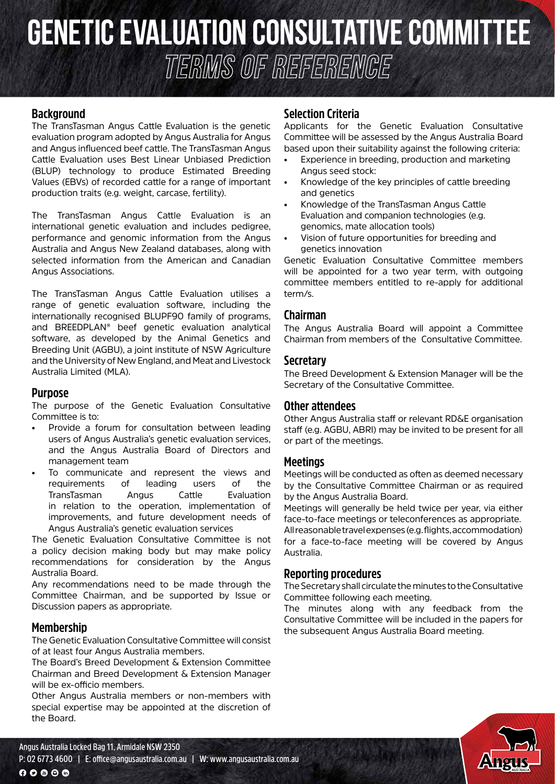# **Genetic evaluation CONSULTATIVE COMMITTEE TERMS OF REFEReNCE**

## **Background**

The TransTasman Angus Cattle Evaluation is the genetic evaluation program adopted by Angus Australia for Angus and Angus influenced beef cattle. The TransTasman Angus Cattle Evaluation uses Best Linear Unbiased Prediction (BLUP) technology to produce Estimated Breeding Values (EBVs) of recorded cattle for a range of important production traits (e.g. weight, carcase, fertility).

The TransTasman Angus Cattle Evaluation is an international genetic evaluation and includes pedigree, performance and genomic information from the Angus Australia and Angus New Zealand databases, along with selected information from the American and Canadian Angus Associations.

The TransTasman Angus Cattle Evaluation utilises a range of genetic evaluation software, including the internationally recognised BLUPF90 family of programs, and BREEDPLAN® beef genetic evaluation analytical software, as developed by the Animal Genetics and Breeding Unit (AGBU), a joint institute of NSW Agriculture and the University of New England, and Meat and Livestock Australia Limited (MLA).

#### **Purpose**

The purpose of the Genetic Evaluation Consultative Committee is to:

- Provide a forum for consultation between leading users of Angus Australia's genetic evaluation services, and the Angus Australia Board of Directors and management team
- To communicate and represent the views and requirements of leading users of the TransTasman Angus Cattle Evaluation in relation to the operation, implementation of improvements, and future development needs of Angus Australia's genetic evaluation services

The Genetic Evaluation Consultative Committee is not a policy decision making body but may make policy recommendations for consideration by the Angus Australia Board.

Any recommendations need to be made through the Committee Chairman, and be supported by Issue or Discussion papers as appropriate.

#### **Membership**

The Genetic Evaluation Consultative Committee will consist of at least four Angus Australia members.

The Board's Breed Development & Extension Committee Chairman and Breed Development & Extension Manager will be ex-officio members.

Other Angus Australia members or non-members with special expertise may be appointed at the discretion of the Board.

**P: 02 6773 4600 | E: office@angusaustralia.com.au | W: www.angusaustralia.com.au**

### **Selection Criteria**

Applicants for the Genetic Evaluation Consultative Committee will be assessed by the Angus Australia Board based upon their suitability against the following criteria:

- Experience in breeding, production and marketing Angus seed stock:
- Knowledge of the key principles of cattle breeding and genetics
- Knowledge of the TransTasman Angus Cattle Evaluation and companion technologies (e.g. genomics, mate allocation tools)
- Vision of future opportunities for breeding and genetics innovation

Genetic Evaluation Consultative Committee members will be appointed for a two year term, with outgoing committee members entitled to re-apply for additional term/s.

#### **Chairman**

The Angus Australia Board will appoint a Committee Chairman from members of the Consultative Committee.

#### **Secretary**

The Breed Development & Extension Manager will be the Secretary of the Consultative Committee.

#### **Other attendees**

Other Angus Australia staff or relevant RD&E organisation staff (e.g. AGBU, ABRI) may be invited to be present for all or part of the meetings.

#### **Meetings**

Meetings will be conducted as often as deemed necessary by the Consultative Committee Chairman or as required by the Angus Australia Board.

Meetings will generally be held twice per year, via either face-to-face meetings or teleconferences as appropriate. All reasonable travel expenses (e.g. flights, accommodation) for a face-to-face meeting will be covered by Angus Australia.

#### **Reporting procedures**

The Secretary shall circulate the minutes to the Consultative Committee following each meeting.

The minutes along with any feedback from the Consultative Committee will be included in the papers for the subsequent Angus Australia Board meeting.

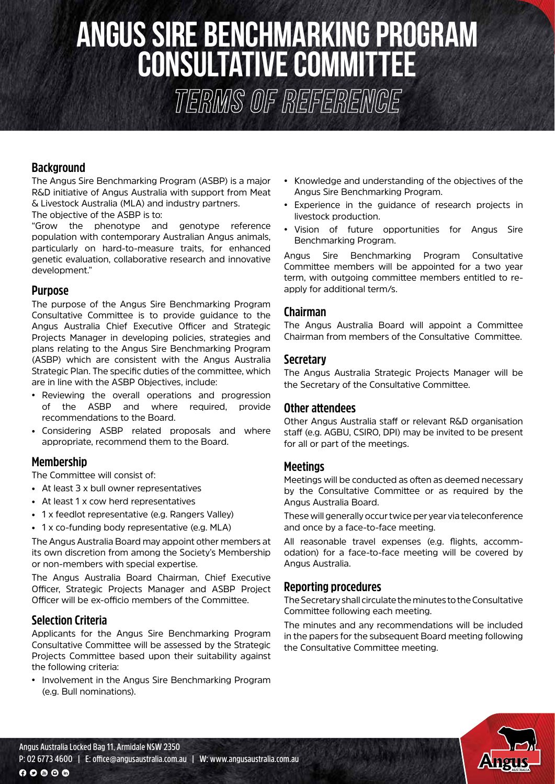# **ANGUS sire benchmarking program CONSULTATIVE COMMITTEE**

**TERMS OF REFEReNCE**

# **Background**

The Angus Sire Benchmarking Program (ASBP) is a major R&D initiative of Angus Australia with support from Meat & Livestock Australia (MLA) and industry partners.

The objective of the ASBP is to:

"Grow the phenotype and genotype reference population with contemporary Australian Angus animals, particularly on hard-to-measure traits, for enhanced genetic evaluation, collaborative research and innovative development."

#### **Purpose**

The purpose of the Angus Sire Benchmarking Program Consultative Committee is to provide guidance to the Angus Australia Chief Executive Officer and Strategic Projects Manager in developing policies, strategies and plans relating to the Angus Sire Benchmarking Program (ASBP) which are consistent with the Angus Australia Strategic Plan. The specific duties of the committee, which are in line with the ASBP Objectives, include:

- Reviewing the overall operations and progression of the ASBP and where required, provide recommendations to the Board.
- Considering ASBP related proposals and where appropriate, recommend them to the Board.

# **Membership**

The Committee will consist of:

- At least 3 x bull owner representatives
- At least 1 x cow herd representatives
- 1 x feedlot representative (e.g. Rangers Valley)
- 1 x co-funding body representative (e.g. MLA)

The Angus Australia Board may appoint other members at its own discretion from among the Society's Membership or non-members with special expertise.

The Angus Australia Board Chairman, Chief Executive Officer, Strategic Projects Manager and ASBP Project Officer will be ex-officio members of the Committee.

# **Selection Criteria**

Applicants for the Angus Sire Benchmarking Program Consultative Committee will be assessed by the Strategic Projects Committee based upon their suitability against the following criteria:

• Involvement in the Angus Sire Benchmarking Program (e.g. Bull nominations).

- Knowledge and understanding of the objectives of the Angus Sire Benchmarking Program.
- Experience in the guidance of research projects in livestock production.
- Vision of future opportunities for Angus Sire Benchmarking Program.

Angus Sire Benchmarking Program Consultative Committee members will be appointed for a two year term, with outgoing committee members entitled to reapply for additional term/s.

#### **Chairman**

The Angus Australia Board will appoint a Committee Chairman from members of the Consultative Committee.

#### **Secretary**

The Angus Australia Strategic Projects Manager will be the Secretary of the Consultative Committee.

#### **Other attendees**

Other Angus Australia staff or relevant R&D organisation staff (e.g. AGBU, CSIRO, DPI) may be invited to be present for all or part of the meetings.

#### **Meetings**

Meetings will be conducted as often as deemed necessary by the Consultative Committee or as required by the Angus Australia Board.

These will generally occur twice per year via teleconference and once by a face-to-face meeting.

All reasonable travel expenses (e.g. flights, accommodation) for a face-to-face meeting will be covered by Angus Australia.

#### **Reporting procedures**

The Secretary shall circulate the minutes to the Consultative Committee following each meeting.

The minutes and any recommendations will be included in the papers for the subsequent Board meeting following the Consultative Committee meeting.